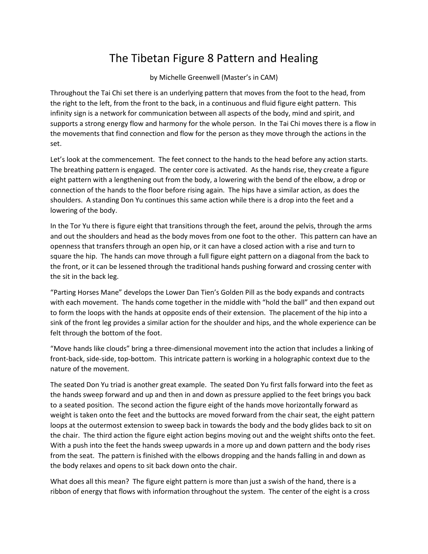## The Tibetan Figure 8 Pattern and Healing

by Michelle Greenwell (Master's in CAM)

Throughout the Tai Chi set there is an underlying pattern that moves from the foot to the head, from the right to the left, from the front to the back, in a continuous and fluid figure eight pattern. This infinity sign is a network for communication between all aspects of the body, mind and spirit, and supports a strong energy flow and harmony for the whole person. In the Tai Chi moves there is a flow in the movements that find connection and flow for the person as they move through the actions in the set.

Let's look at the commencement. The feet connect to the hands to the head before any action starts. The breathing pattern is engaged. The center core is activated. As the hands rise, they create a figure eight pattern with a lengthening out from the body, a lowering with the bend of the elbow, a drop or connection of the hands to the floor before rising again. The hips have a similar action, as does the shoulders. A standing Don Yu continues this same action while there is a drop into the feet and a lowering of the body.

In the Tor Yu there is figure eight that transitions through the feet, around the pelvis, through the arms and out the shoulders and head as the body moves from one foot to the other. This pattern can have an openness that transfers through an open hip, or it can have a closed action with a rise and turn to square the hip. The hands can move through a full figure eight pattern on a diagonal from the back to the front, or it can be lessened through the traditional hands pushing forward and crossing center with the sit in the back leg.

"Parting Horses Mane" develops the Lower Dan Tien's Golden Pill as the body expands and contracts with each movement. The hands come together in the middle with "hold the ball" and then expand out to form the loops with the hands at opposite ends of their extension. The placement of the hip into a sink of the front leg provides a similar action for the shoulder and hips, and the whole experience can be felt through the bottom of the foot.

"Move hands like clouds" bring a three-dimensional movement into the action that includes a linking of front-back, side-side, top-bottom. This intricate pattern is working in a holographic context due to the nature of the movement.

The seated Don Yu triad is another great example. The seated Don Yu first falls forward into the feet as the hands sweep forward and up and then in and down as pressure applied to the feet brings you back to a seated position. The second action the figure eight of the hands move horizontally forward as weight is taken onto the feet and the buttocks are moved forward from the chair seat, the eight pattern loops at the outermost extension to sweep back in towards the body and the body glides back to sit on the chair. The third action the figure eight action begins moving out and the weight shifts onto the feet. With a push into the feet the hands sweep upwards in a more up and down pattern and the body rises from the seat. The pattern is finished with the elbows dropping and the hands falling in and down as the body relaxes and opens to sit back down onto the chair.

What does all this mean? The figure eight pattern is more than just a swish of the hand, there is a ribbon of energy that flows with information throughout the system. The center of the eight is a cross